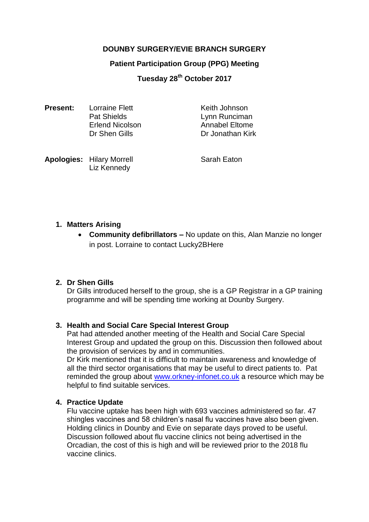## **DOUNBY SURGERY/EVIE BRANCH SURGERY**

### **Patient Participation Group (PPG) Meeting**

# **Tuesday 28th October 2017**

| <b>Present:</b> | <b>Lorraine Flett</b>  | Keith Johnson    |
|-----------------|------------------------|------------------|
|                 | <b>Pat Shields</b>     | Lynn Runciman    |
|                 | <b>Erlend Nicolson</b> | Annabel Eltome   |
|                 | Dr Shen Gills          | Dr Jonathan Kirk |
|                 |                        |                  |

**Apologies:** Hilary Morrell Sarah Eaton Liz Kennedy

### **1. Matters Arising**

 **Community defibrillators –** No update on this, Alan Manzie no longer in post. Lorraine to contact Lucky2BHere

### **2. Dr Shen Gills**

Dr Gills introduced herself to the group, she is a GP Registrar in a GP training programme and will be spending time working at Dounby Surgery.

### **3. Health and Social Care Special Interest Group**

Pat had attended another meeting of the Health and Social Care Special Interest Group and updated the group on this. Discussion then followed about the provision of services by and in communities.

Dr Kirk mentioned that it is difficult to maintain awareness and knowledge of all the third sector organisations that may be useful to direct patients to. Pat reminded the group about [www.orkney-infonet.co.uk](http://www.orkney-infonet.co.uk/) a resource which may be helpful to find suitable services.

### **4. Practice Update**

Flu vaccine uptake has been high with 693 vaccines administered so far. 47 shingles vaccines and 58 children's nasal flu vaccines have also been given. Holding clinics in Dounby and Evie on separate days proved to be useful. Discussion followed about flu vaccine clinics not being advertised in the Orcadian, the cost of this is high and will be reviewed prior to the 2018 flu vaccine clinics.